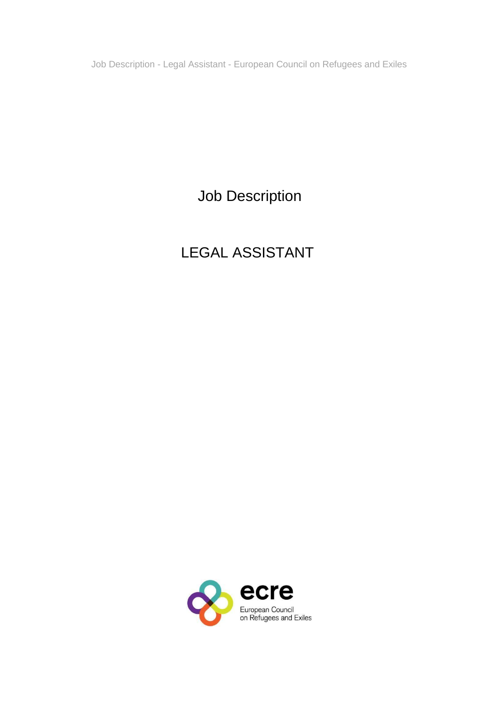Job Description - Legal Assistant - European Council on Refugees and Exiles

Job Description

# LEGAL ASSISTANT

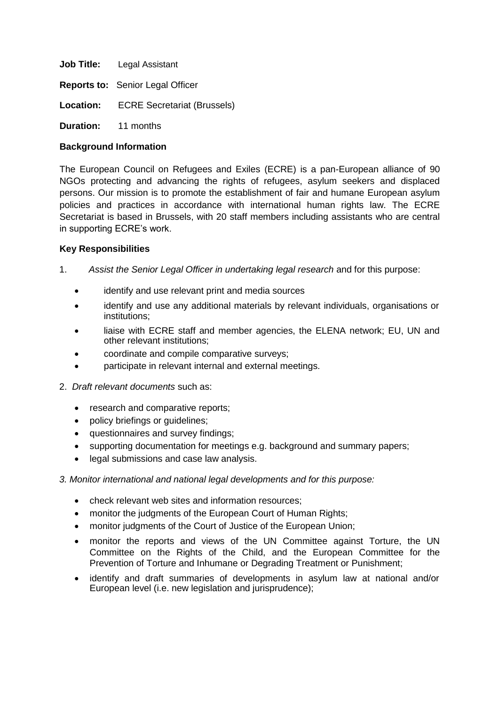**Job Title:** Legal Assistant

**Reports to:** Senior Legal Officer

**Location:** ECRE Secretariat (Brussels)

**Duration:** 11 months

# **Background Information**

The European Council on Refugees and Exiles (ECRE) is a pan-European alliance of 90 NGOs protecting and advancing the rights of refugees, asylum seekers and displaced persons. Our mission is to promote the establishment of fair and humane European asylum policies and practices in accordance with international human rights law. The ECRE Secretariat is based in Brussels, with 20 staff members including assistants who are central in supporting ECRE's work.

## **Key Responsibilities**

- 1. *Assist the Senior Legal Officer in undertaking legal research* and for this purpose:
	- identify and use relevant print and media sources
	- identify and use any additional materials by relevant individuals, organisations or institutions;
	- liaise with ECRE staff and member agencies, the ELENA network; EU, UN and other relevant institutions;
	- coordinate and compile comparative surveys;
	- participate in relevant internal and external meetings.
- 2. *Draft relevant documents* such as:
	- research and comparative reports;
	- policy briefings or quidelines:
	- questionnaires and survey findings:
	- supporting documentation for meetings e.g. background and summary papers;
	- legal submissions and case law analysis.

## *3. Monitor international and national legal developments and for this purpose:*

- check relevant web sites and information resources;
- monitor the judgments of the European Court of Human Rights;
- monitor judgments of the Court of Justice of the European Union;
- monitor the reports and views of the UN Committee against Torture, the UN Committee on the Rights of the Child, and the European Committee for the Prevention of Torture and Inhumane or Degrading Treatment or Punishment;
- identify and draft summaries of developments in asylum law at national and/or European level (i.e. new legislation and jurisprudence);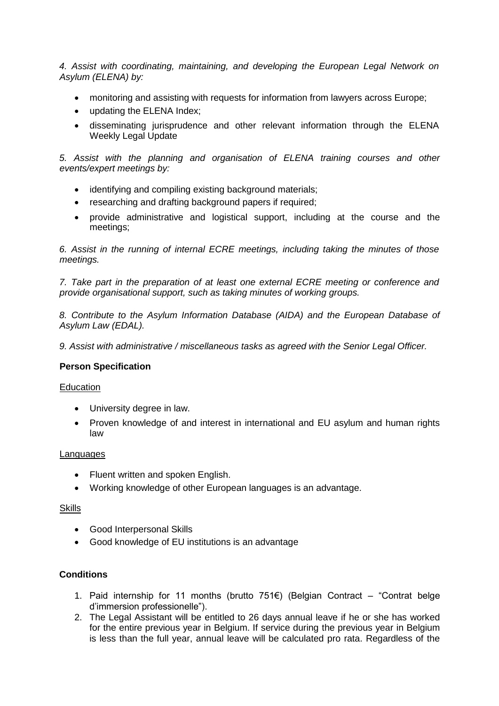*4. Assist with coordinating, maintaining, and developing the European Legal Network on Asylum (ELENA) by:* 

- monitoring and assisting with requests for information from lawyers across Europe;
- updating the ELENA Index:
- disseminating jurisprudence and other relevant information through the ELENA Weekly Legal Update

*5. Assist with the planning and organisation of ELENA training courses and other events/expert meetings by:* 

- identifying and compiling existing background materials;
- researching and drafting background papers if required;
- provide administrative and logistical support, including at the course and the meetings;

*6. Assist in the running of internal ECRE meetings, including taking the minutes of those meetings.* 

*7. Take part in the preparation of at least one external ECRE meeting or conference and provide organisational support, such as taking minutes of working groups.* 

*8. Contribute to the Asylum Information Database (AIDA) and the European Database of Asylum Law (EDAL).* 

*9. Assist with administrative / miscellaneous tasks as agreed with the Senior Legal Officer.* 

#### **Person Specification**

#### **Education**

- University degree in law.
- Proven knowledge of and interest in international and EU asylum and human rights law

#### Languages

- Fluent written and spoken English.
- Working knowledge of other European languages is an advantage.

#### **Skills**

- Good Interpersonal Skills
- Good knowledge of EU institutions is an advantage

# **Conditions**

- 1. Paid internship for 11 months (brutto 751€) (Belgian Contract "Contrat belge d'immersion professionelle").
- 2. The Legal Assistant will be entitled to 26 days annual leave if he or she has worked for the entire previous year in Belgium. If service during the previous year in Belgium is less than the full year, annual leave will be calculated pro rata. Regardless of the